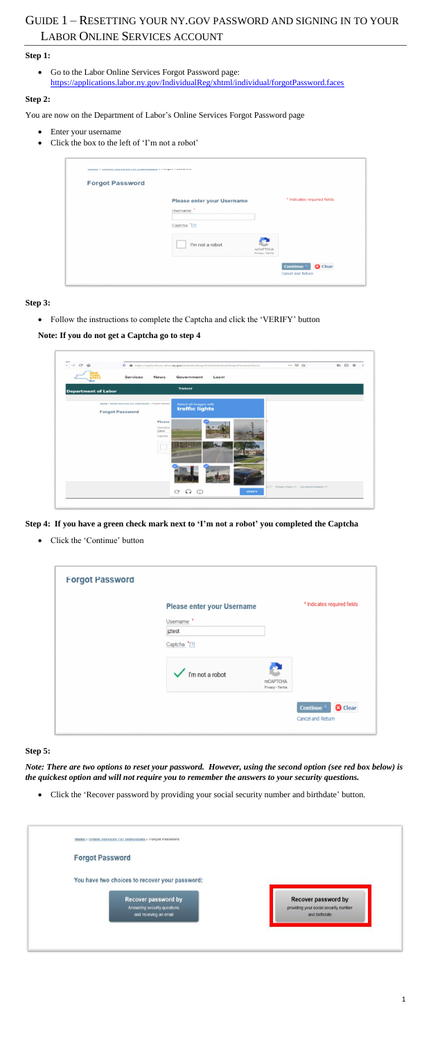# GUIDE 1 – RESETTING YOUR NY.GOV PASSWORD AND SIGNING IN TO YOUR LABOR ONLINE SERVICES ACCOUNT

# **Step 1:**

• Go to the Labor Online Services Forgot Password page: <https://applications.labor.ny.gov/IndividualReg/xhtml/individual/forgotPassword.faces>

## **Step 2:**

You are now on the Department of Labor's Online Services Forgot Password page

- Enter your username
- Click the box to the left of 'I'm not a robot'

| <b>Forgot Password</b> |                                   |                              |                             |
|------------------------|-----------------------------------|------------------------------|-----------------------------|
|                        | <b>Please enter your Username</b> |                              | * Indicates required fields |
|                        | Username                          |                              |                             |
|                        | Captcha <sup>*</sup> [2]          |                              |                             |
|                        | I'm not a robot                   | reCAPTCHA<br>Privacy - Terms |                             |

**Step 3:** 

• Follow the instructions to complete the Captcha and click the 'VERIFY' button

**Note: If you do not get a Captcha go to step 4**

| $\mathcal{C}^{\prime}$<br>$\hat{w}$ |                                                        |                    | <sup>0</sup> A https://applications.labor.ny.gov/IndividualReg/shtml/individual/forgotPassword.faces |       |               | $\cdots \circ \alpha$                          | $MN$ (D) $30$ |
|-------------------------------------|--------------------------------------------------------|--------------------|------------------------------------------------------------------------------------------------------|-------|---------------|------------------------------------------------|---------------|
|                                     | Services                                               | <b>News</b>        | Government                                                                                           | Local |               |                                                |               |
| <b>Department of Labor</b>          |                                                        |                    | <b>Traducir</b>                                                                                      |       |               |                                                |               |
|                                     | Home - Online Services Cor Individuals - Forgot Passwo |                    | Select all images with<br>traffic lights                                                             |       |               |                                                |               |
|                                     | <b>Forgot Password</b>                                 |                    |                                                                                                      |       |               |                                                |               |
|                                     |                                                        | Please             |                                                                                                      |       |               |                                                |               |
|                                     |                                                        | Username<br>jztest |                                                                                                      |       |               |                                                |               |
|                                     |                                                        | Captcha            |                                                                                                      |       |               |                                                |               |
|                                     |                                                        |                    |                                                                                                      |       |               |                                                |               |
|                                     |                                                        |                    |                                                                                                      |       |               |                                                |               |
|                                     |                                                        |                    |                                                                                                      |       |               |                                                |               |
|                                     |                                                        |                    |                                                                                                      |       |               |                                                |               |
|                                     |                                                        |                    |                                                                                                      |       |               |                                                |               |
|                                     |                                                        |                    |                                                                                                      |       |               | ty (C) Privacy Policy (C) Document Readers (C) |               |
|                                     |                                                        |                    | $\bigcirc$<br>C<br>6 2                                                                               |       | <b>VERIFY</b> |                                                |               |

**Step 4: If you have a green check mark next to 'I'm not a robot' you completed the Captcha**

• Click the 'Continue' button

| <b>Forgot Password</b> |                                                                               |                                     |                                                        |
|------------------------|-------------------------------------------------------------------------------|-------------------------------------|--------------------------------------------------------|
|                        | Please enter your Username<br>Username <sup>*</sup><br>jztest<br>Captcha *[?] |                                     | * Indicates required fields                            |
|                        | $\checkmark$ l'm not a robot                                                  | <b>reCAPTCHA</b><br>Privacy - Terms |                                                        |
|                        |                                                                               |                                     | <b>Continue</b><br><b>3</b> Clear<br>Cancel and Return |

## **Step 5:**

*Note: There are two options to reset your password. However, using the second option (see red box below) is the quickest option and will not require you to remember the answers to your security questions.*

• Click the 'Recover password by providing your social security number and birthdate' button.

| <b>MOME - Uning Services For Individuals - Forgot Password</b> |                                                                     |
|----------------------------------------------------------------|---------------------------------------------------------------------|
| <b>Forgot Password</b>                                         |                                                                     |
| You have two choices to recover your password:                 |                                                                     |
| <b>Recover password by</b><br>Answering security questions     | <b>Recover password by</b><br>providing your social security number |
| and receiving an email.                                        | and birthdate                                                       |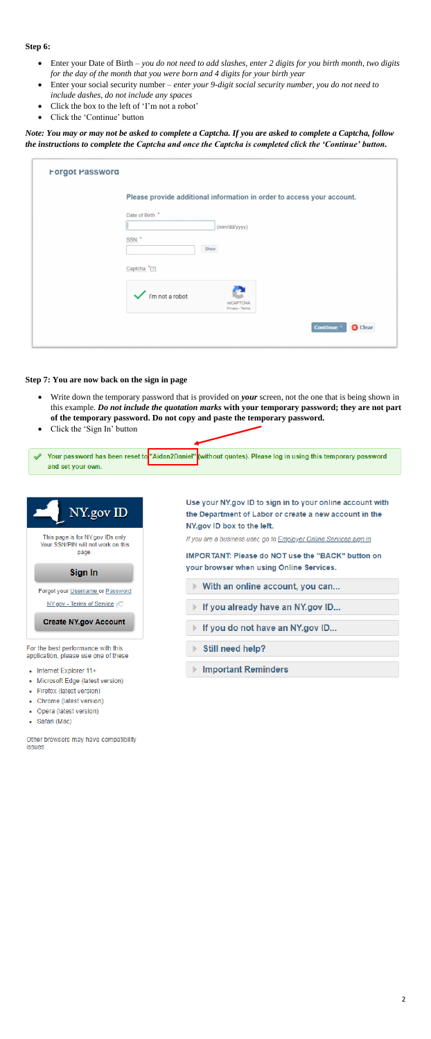## **Step 6:**

- Enter your Date of Birth *you do not need to add slashes, enter 2 digits for you birth month, two digits for the day of the month that you were born and 4 digits for your birth year*
- Enter your social security number *enter your 9-digit social security number, you do not need to include dashes, do not include any spaces*
- Click the box to the left of 'I'm not a robot'
- Click the 'Continue' button

- Write down the temporary password that is provided on *your* screen, not the one that is being shown in this example. *Do not include the quotation marks* **with your temporary password; they are not part of the temporary password. Do not copy and paste the temporary password.**
- Click the 'Sign In' button



For the best performance with this application, please use one of these

- Internet Explorer 11+
- Microsoft Edge (latest version)
- Firefox (latest version)
- Chrome (latest version)
- Opera (latest version)
- Safari (Mac)

Other browsers may have compatibility issues.

# Still need help?

## **Important Reminders**

*Note: You may or may not be asked to complete a Captcha. If you are asked to complete a Captcha, follow the instructions to complete the Captcha and once the Captcha is completed click the 'Continue' button.*

| Please provide additional information in order to access your account. |  |
|------------------------------------------------------------------------|--|
| Date of Birth *                                                        |  |
| (mm/dd/yyyy)                                                           |  |
| SSN <sup>*</sup><br>Show                                               |  |
| Captcha <sup>*</sup> [?]                                               |  |
| I'm not a robot<br>reCAPTCHA<br>Privacy - Terms                        |  |

#### **Step 7: You are now back on the sign in page**